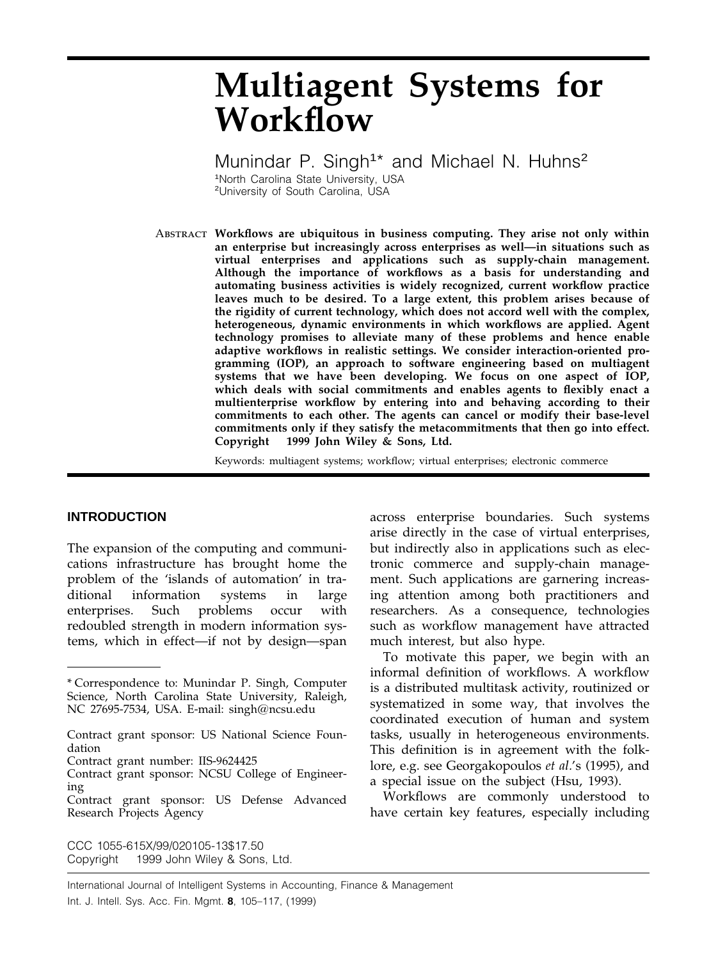# **Multiagent Systems for Workflow**

Munindar P. Singh<sup>1\*</sup> and Michael N. Huhns<sup>2</sup>

1 North Carolina State University, USA 2 University of South Carolina, USA

Abstract **Workflows are ubiquitous in business computing. They arise not only within an enterprise but increasingly across enterprises as well—in situations such as virtual enterprises and applications such as supply-chain management. Although the importance of workflows as a basis for understanding and automating business activities is widely recognized, current workflow practice leaves much to be desired. To a large extent, this problem arises because of the rigidity of current technology, which does not accord well with the complex, heterogeneous, dynamic environments in which workflows are applied. Agent technology promises to alleviate many of these problems and hence enable adaptive workflows in realistic settings. We consider interaction-oriented programming (IOP), an approach to software engineering based on multiagent systems that we have been developing. We focus on one aspect of IOP, which deals with social commitments and enables agents to flexibly enact a multienterprise workflow by entering into and behaving according to their commitments to each other. The agents can cancel or modify their base-level commitments only if they satisfy the metacommitments that then go into effect. Copyright 1999 John Wiley & Sons, Ltd.**

Keywords: multiagent systems; workflow; virtual enterprises; electronic commerce

#### **INTRODUCTION**

The expansion of the computing and communications infrastructure has brought home the problem of the 'islands of automation' in traditional information systems in large enterprises. Such problems occur with redoubled strength in modern information systems, which in effect—if not by design—span

Contract grant number: IIS-9624425

Contract grant sponsor: US Defense Advanced Research Projects Agency

CCC 1055-615X/99/020105-13\$17.50 Copyright © 1999 John Wiley & Sons, Ltd.

across enterprise boundaries. Such systems arise directly in the case of virtual enterprises, but indirectly also in applications such as electronic commerce and supply-chain management. Such applications are garnering increasing attention among both practitioners and researchers. As a consequence, technologies such as workflow management have attracted much interest, but also hype.

To motivate this paper, we begin with an informal definition of workflows. A workflow is a distributed multitask activity, routinized or systematized in some way, that involves the coordinated execution of human and system tasks, usually in heterogeneous environments. This definition is in agreement with the folklore, e.g. see Georgakopoulos *et al.*'s (1995), and a special issue on the subject (Hsu, 1993).

Workflows are commonly understood to have certain key features, especially including

International Journal of Intelligent Systems in Accounting, Finance & Management Int. J. Intell. Sys. Acc. Fin. Mgmt. **8**, 105–117, (1999)

<sup>\*</sup> Correspondence to: Munindar P. Singh, Computer Science, North Carolina State University, Raleigh, NC 27695-7534, USA. E-mail: singh@ncsu.edu

Contract grant sponsor: US National Science Foundation

Contract grant sponsor: NCSU College of Engineering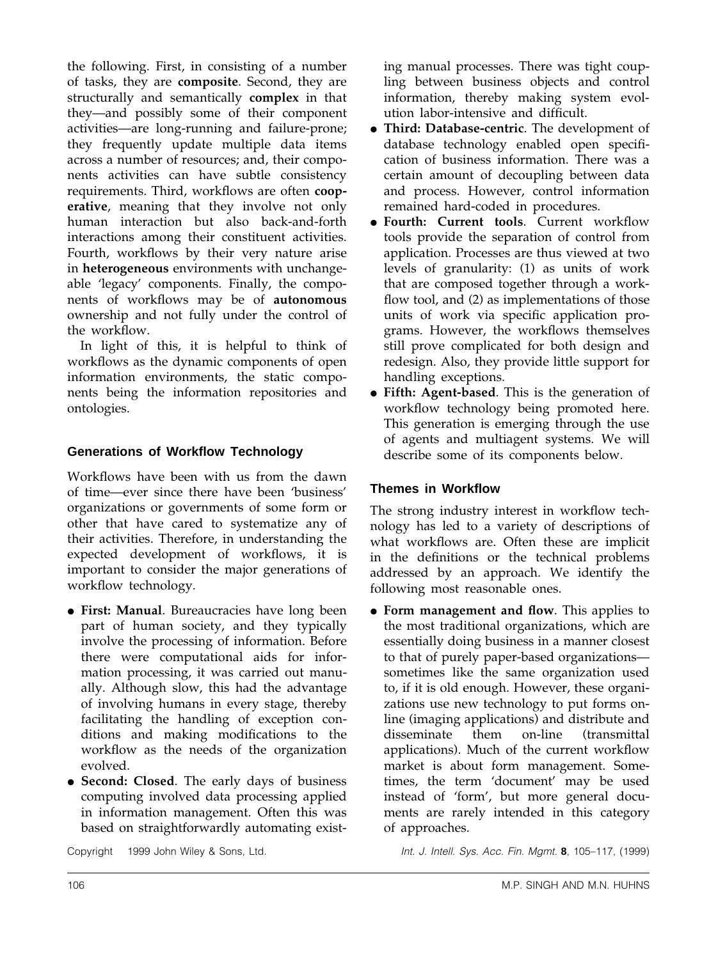the following. First, in consisting of a number of tasks, they are **composite**. Second, they are structurally and semantically **complex** in that they—and possibly some of their component activities—are long-running and failure-prone; they frequently update multiple data items across a number of resources; and, their components activities can have subtle consistency requirements. Third, workflows are often **cooperative**, meaning that they involve not only human interaction but also back-and-forth interactions among their constituent activities. Fourth, workflows by their very nature arise in **heterogeneous** environments with unchangeable 'legacy' components. Finally, the components of workflows may be of **autonomous** ownership and not fully under the control of the workflow.

In light of this, it is helpful to think of workflows as the dynamic components of open information environments, the static components being the information repositories and ontologies.

## **Generations of Workflow Technology**

Workflows have been with us from the dawn of time—ever since there have been 'business' organizations or governments of some form or other that have cared to systematize any of their activities. Therefore, in understanding the expected development of workflows, it is important to consider the major generations of workflow technology.

- **First: Manual**. Bureaucracies have long been part of human society, and they typically involve the processing of information. Before there were computational aids for information processing, it was carried out manually. Although slow, this had the advantage of involving humans in every stage, thereby facilitating the handling of exception conditions and making modifications to the workflow as the needs of the organization evolved.
- **Second: Closed**. The early days of business computing involved data processing applied in information management. Often this was based on straightforwardly automating exist-

ing manual processes. There was tight coupling between business objects and control information, thereby making system evolution labor-intensive and difficult.

- **Third: Database-centric.** The development of database technology enabled open specification of business information. There was a certain amount of decoupling between data and process. However, control information remained hard-coded in procedures.
- $\bullet$  Fourth: Current tools. Current workflow tools provide the separation of control from application. Processes are thus viewed at two levels of granularity: (1) as units of work that are composed together through a workflow tool, and (2) as implementations of those units of work via specific application programs. However, the workflows themselves still prove complicated for both design and redesign. Also, they provide little support for handling exceptions.
- **Fifth: Agent-based**. This is the generation of workflow technology being promoted here. This generation is emerging through the use of agents and multiagent systems. We will describe some of its components below.

## **Themes in Workflow**

The strong industry interest in workflow technology has led to a variety of descriptions of what workflows are. Often these are implicit in the definitions or the technical problems addressed by an approach. We identify the following most reasonable ones.

**• Form management and flow**. This applies to the most traditional organizations, which are essentially doing business in a manner closest to that of purely paper-based organizations sometimes like the same organization used to, if it is old enough. However, these organizations use new technology to put forms online (imaging applications) and distribute and disseminate them on-line (transmittal applications). Much of the current workflow market is about form management. Sometimes, the term 'document' may be used instead of 'form', but more general documents are rarely intended in this category of approaches.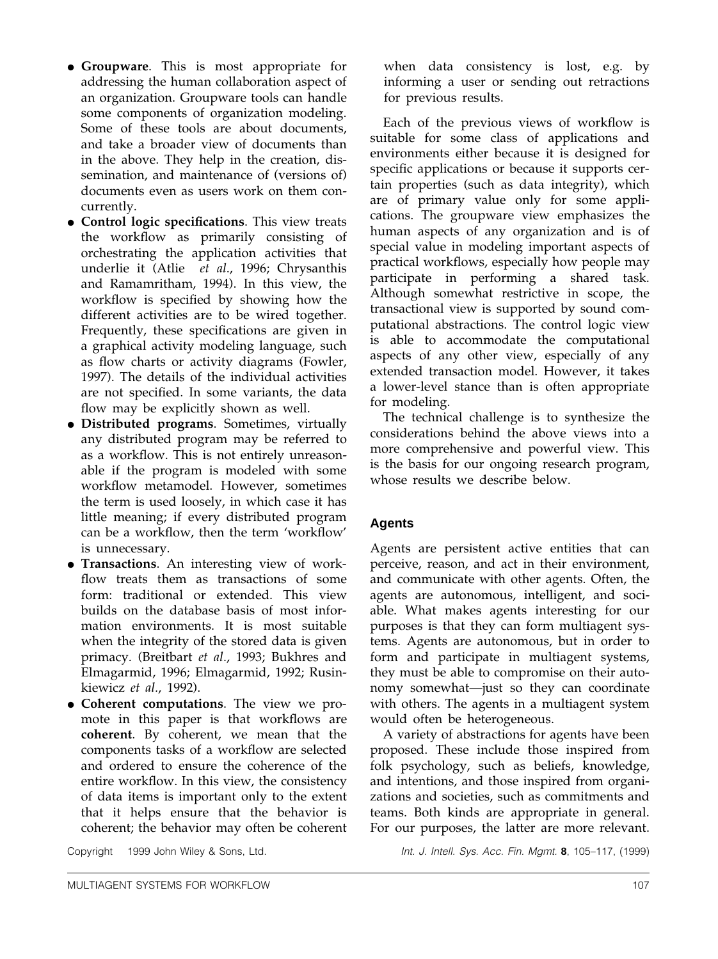- **Groupware**. This is most appropriate for addressing the human collaboration aspect of an organization. Groupware tools can handle some components of organization modeling. Some of these tools are about documents, and take a broader view of documents than in the above. They help in the creation, dissemination, and maintenance of (versions of) documents even as users work on them concurrently.
- **Control logic specifications**. This view treats the workflow as primarily consisting of orchestrating the application activities that underlie it (Atlie *et al*., 1996; Chrysanthis and Ramamritham, 1994). In this view, the workflow is specified by showing how the different activities are to be wired together. Frequently, these specifications are given in a graphical activity modeling language, such as flow charts or activity diagrams (Fowler, 1997). The details of the individual activities are not specified. In some variants, the data flow may be explicitly shown as well.
- **Distributed programs**. Sometimes, virtually any distributed program may be referred to as a workflow. This is not entirely unreasonable if the program is modeled with some workflow metamodel. However, sometimes the term is used loosely, in which case it has little meaning; if every distributed program can be a workflow, then the term 'workflow' is unnecessary.
- **Transactions**. An interesting view of workflow treats them as transactions of some form: traditional or extended. This view builds on the database basis of most information environments. It is most suitable when the integrity of the stored data is given primacy. (Breitbart *et al.*, 1993; Bukhres and Elmagarmid, 1996; Elmagarmid, 1992; Rusinkiewicz *et al.*, 1992).
- **Coherent computations**. The view we promote in this paper is that workflows are **coherent**. By coherent, we mean that the components tasks of a workflow are selected and ordered to ensure the coherence of the entire workflow. In this view, the consistency of data items is important only to the extent that it helps ensure that the behavior is coherent; the behavior may often be coherent

when data consistency is lost, e.g. by informing a user or sending out retractions for previous results.

Each of the previous views of workflow is suitable for some class of applications and environments either because it is designed for specific applications or because it supports certain properties (such as data integrity), which are of primary value only for some applications. The groupware view emphasizes the human aspects of any organization and is of special value in modeling important aspects of practical workflows, especially how people may participate in performing a shared task. Although somewhat restrictive in scope, the transactional view is supported by sound computational abstractions. The control logic view is able to accommodate the computational aspects of any other view, especially of any extended transaction model. However, it takes a lower-level stance than is often appropriate for modeling.

The technical challenge is to synthesize the considerations behind the above views into a more comprehensive and powerful view. This is the basis for our ongoing research program, whose results we describe below.

# **Agents**

Agents are persistent active entities that can perceive, reason, and act in their environment, and communicate with other agents. Often, the agents are autonomous, intelligent, and sociable. What makes agents interesting for our purposes is that they can form multiagent systems. Agents are autonomous, but in order to form and participate in multiagent systems, they must be able to compromise on their autonomy somewhat—just so they can coordinate with others. The agents in a multiagent system would often be heterogeneous.

A variety of abstractions for agents have been proposed. These include those inspired from folk psychology, such as beliefs, knowledge, and intentions, and those inspired from organizations and societies, such as commitments and teams. Both kinds are appropriate in general. For our purposes, the latter are more relevant.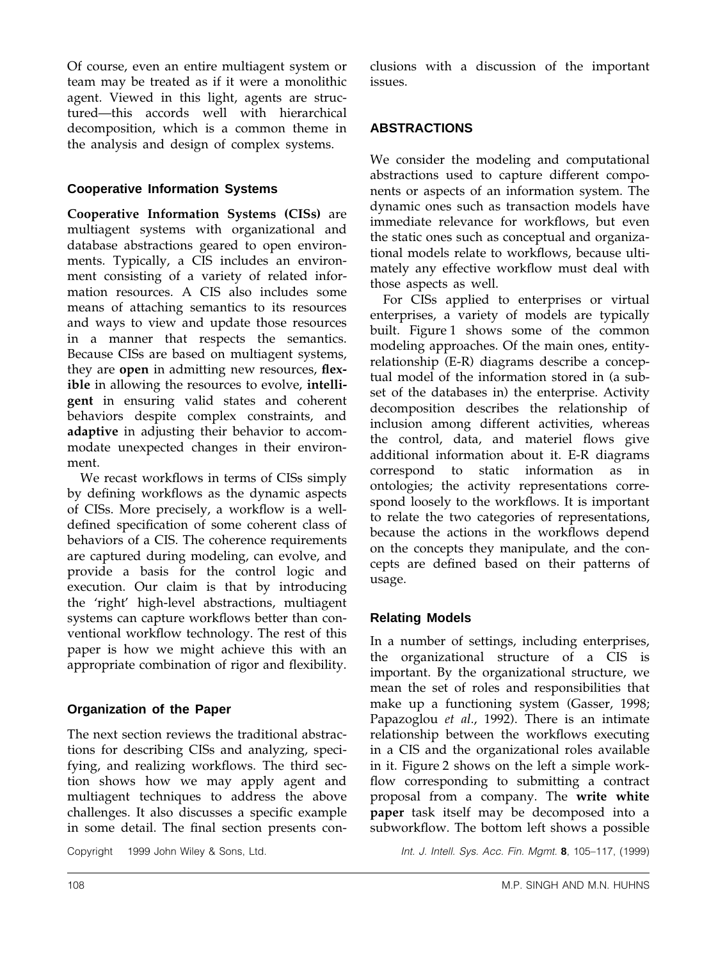Of course, even an entire multiagent system or team may be treated as if it were a monolithic agent. Viewed in this light, agents are structured—this accords well with hierarchical decomposition, which is a common theme in the analysis and design of complex systems.

## **Cooperative Information Systems**

**Cooperative Information Systems (CISs)** are multiagent systems with organizational and database abstractions geared to open environments. Typically, a CIS includes an environment consisting of a variety of related information resources. A CIS also includes some means of attaching semantics to its resources and ways to view and update those resources in a manner that respects the semantics. Because CISs are based on multiagent systems, they are **open** in admitting new resources, **flexible** in allowing the resources to evolve, **intelligent** in ensuring valid states and coherent behaviors despite complex constraints, and **adaptive** in adjusting their behavior to accommodate unexpected changes in their environment.

We recast workflows in terms of CISs simply by defining workflows as the dynamic aspects of CISs. More precisely, a workflow is a welldefined specification of some coherent class of behaviors of a CIS. The coherence requirements are captured during modeling, can evolve, and provide a basis for the control logic and execution. Our claim is that by introducing the 'right' high-level abstractions, multiagent systems can capture workflows better than conventional workflow technology. The rest of this paper is how we might achieve this with an appropriate combination of rigor and flexibility.

# **Organization of the Paper**

The next section reviews the traditional abstractions for describing CISs and analyzing, specifying, and realizing workflows. The third section shows how we may apply agent and multiagent techniques to address the above challenges. It also discusses a specific example in some detail. The final section presents con-

clusions with a discussion of the important issues.

# **ABSTRACTIONS**

We consider the modeling and computational abstractions used to capture different components or aspects of an information system. The dynamic ones such as transaction models have immediate relevance for workflows, but even the static ones such as conceptual and organizational models relate to workflows, because ultimately any effective workflow must deal with those aspects as well.

For CISs applied to enterprises or virtual enterprises, a variety of models are typically built. Figure 1 shows some of the common modeling approaches. Of the main ones, entityrelationship (E-R) diagrams describe a conceptual model of the information stored in (a subset of the databases in) the enterprise. Activity decomposition describes the relationship of inclusion among different activities, whereas the control, data, and materiel flows give additional information about it. E-R diagrams correspond to static information as in ontologies; the activity representations correspond loosely to the workflows. It is important to relate the two categories of representations, because the actions in the workflows depend on the concepts they manipulate, and the concepts are defined based on their patterns of usage.

# **Relating Models**

In a number of settings, including enterprises, the organizational structure of a CIS is important. By the organizational structure, we mean the set of roles and responsibilities that make up a functioning system (Gasser, 1998; Papazoglou *et al.*, 1992). There is an intimate relationship between the workflows executing in a CIS and the organizational roles available in it. Figure 2 shows on the left a simple workflow corresponding to submitting a contract proposal from a company. The **write white paper** task itself may be decomposed into a subworkflow. The bottom left shows a possible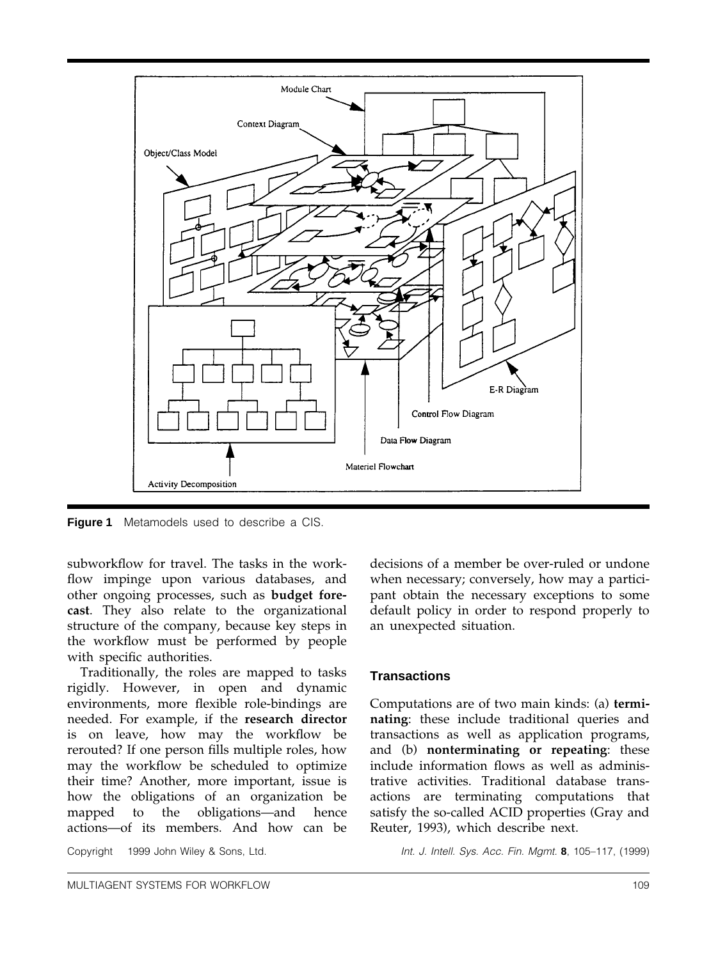

**Figure 1** Metamodels used to describe a CIS.

subworkflow for travel. The tasks in the workflow impinge upon various databases, and other ongoing processes, such as **budget forecast**. They also relate to the organizational structure of the company, because key steps in the workflow must be performed by people with specific authorities.

Traditionally, the roles are mapped to tasks rigidly. However, in open and dynamic environments, more flexible role-bindings are needed. For example, if the **research director** is on leave, how may the workflow be rerouted? If one person fills multiple roles, how may the workflow be scheduled to optimize their time? Another, more important, issue is how the obligations of an organization be mapped to the obligations—and hence actions—of its members. And how can be

decisions of a member be over-ruled or undone when necessary; conversely, how may a participant obtain the necessary exceptions to some default policy in order to respond properly to an unexpected situation.

#### **Transactions**

Computations are of two main kinds: (a) **terminating**: these include traditional queries and transactions as well as application programs, and (b) **nonterminating or repeating**: these include information flows as well as administrative activities. Traditional database transactions are terminating computations that satisfy the so-called ACID properties (Gray and Reuter, 1993), which describe next.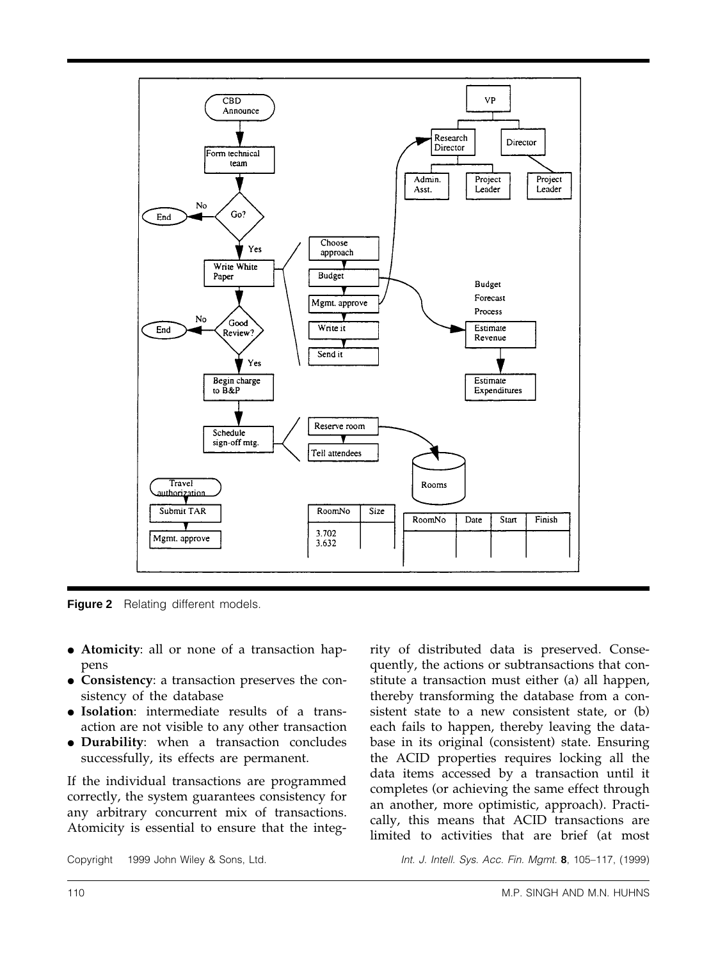

**Figure 2** Relating different models.

- $\bullet$  Atomicity: all or none of a transaction happens
- **Consistency**: a transaction preserves the consistency of the database
- I **Isolation**: intermediate results of a transaction are not visible to any other transaction
- **Durability**: when a transaction concludes successfully, its effects are permanent.

If the individual transactions are programmed correctly, the system guarantees consistency for any arbitrary concurrent mix of transactions. Atomicity is essential to ensure that the integ-

rity of distributed data is preserved. Consequently, the actions or subtransactions that constitute a transaction must either (a) all happen, thereby transforming the database from a consistent state to a new consistent state, or (b) each fails to happen, thereby leaving the database in its original (consistent) state. Ensuring the ACID properties requires locking all the data items accessed by a transaction until it completes (or achieving the same effect through an another, more optimistic, approach). Practically, this means that ACID transactions are limited to activities that are brief (at most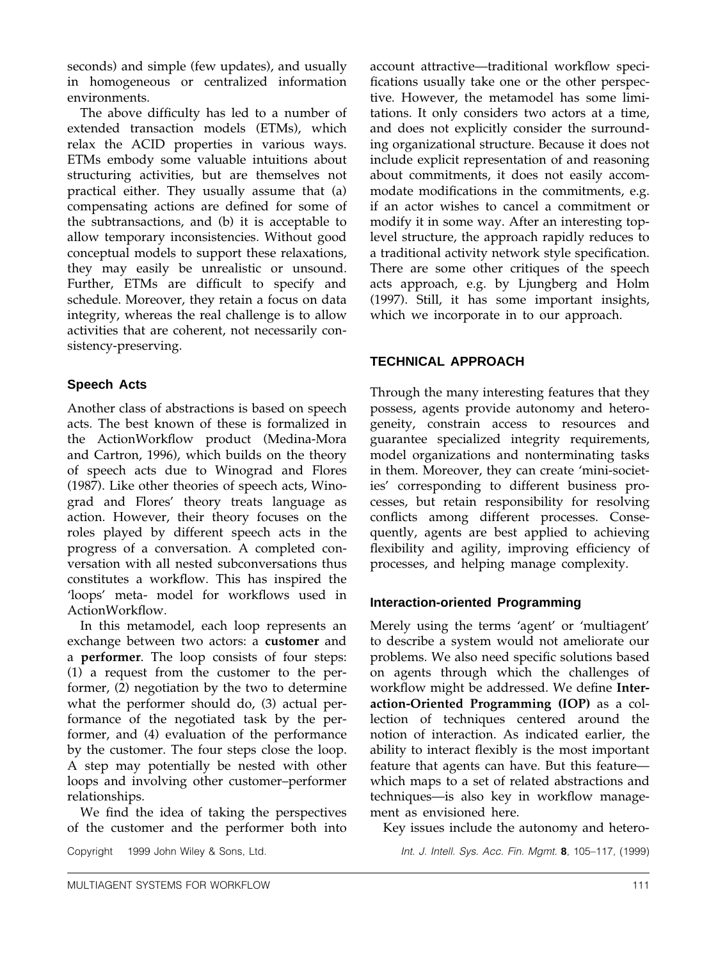seconds) and simple (few updates), and usually in homogeneous or centralized information environments.

The above difficulty has led to a number of extended transaction models (ETMs), which relax the ACID properties in various ways. ETMs embody some valuable intuitions about structuring activities, but are themselves not practical either. They usually assume that (a) compensating actions are defined for some of the subtransactions, and (b) it is acceptable to allow temporary inconsistencies. Without good conceptual models to support these relaxations, they may easily be unrealistic or unsound. Further, ETMs are difficult to specify and schedule. Moreover, they retain a focus on data integrity, whereas the real challenge is to allow activities that are coherent, not necessarily consistency-preserving.

## **Speech Acts**

Another class of abstractions is based on speech acts. The best known of these is formalized in the ActionWorkflow product (Medina-Mora and Cartron, 1996), which builds on the theory of speech acts due to Winograd and Flores (1987). Like other theories of speech acts, Winograd and Flores' theory treats language as action. However, their theory focuses on the roles played by different speech acts in the progress of a conversation. A completed conversation with all nested subconversations thus constitutes a workflow. This has inspired the 'loops' meta- model for workflows used in ActionWorkflow.

In this metamodel, each loop represents an exchange between two actors: a **customer** and a **performer**. The loop consists of four steps: (1) a request from the customer to the performer, (2) negotiation by the two to determine what the performer should do, (3) actual performance of the negotiated task by the performer, and (4) evaluation of the performance by the customer. The four steps close the loop. A step may potentially be nested with other loops and involving other customer–performer relationships.

We find the idea of taking the perspectives of the customer and the performer both into

account attractive—traditional workflow specifications usually take one or the other perspective. However, the metamodel has some limitations. It only considers two actors at a time, and does not explicitly consider the surrounding organizational structure. Because it does not include explicit representation of and reasoning about commitments, it does not easily accommodate modifications in the commitments, e.g. if an actor wishes to cancel a commitment or modify it in some way. After an interesting toplevel structure, the approach rapidly reduces to a traditional activity network style specification. There are some other critiques of the speech acts approach, e.g. by Ljungberg and Holm (1997). Still, it has some important insights, which we incorporate in to our approach.

#### **TECHNICAL APPROACH**

Through the many interesting features that they possess, agents provide autonomy and heterogeneity, constrain access to resources and guarantee specialized integrity requirements, model organizations and nonterminating tasks in them. Moreover, they can create 'mini-societies' corresponding to different business processes, but retain responsibility for resolving conflicts among different processes. Consequently, agents are best applied to achieving flexibility and agility, improving efficiency of processes, and helping manage complexity.

#### **Interaction-oriented Programming**

Merely using the terms 'agent' or 'multiagent' to describe a system would not ameliorate our problems. We also need specific solutions based on agents through which the challenges of workflow might be addressed. We define **Interaction-Oriented Programming (IOP)** as a collection of techniques centered around the notion of interaction. As indicated earlier, the ability to interact flexibly is the most important feature that agents can have. But this feature which maps to a set of related abstractions and techniques—is also key in workflow management as envisioned here.

Key issues include the autonomy and hetero-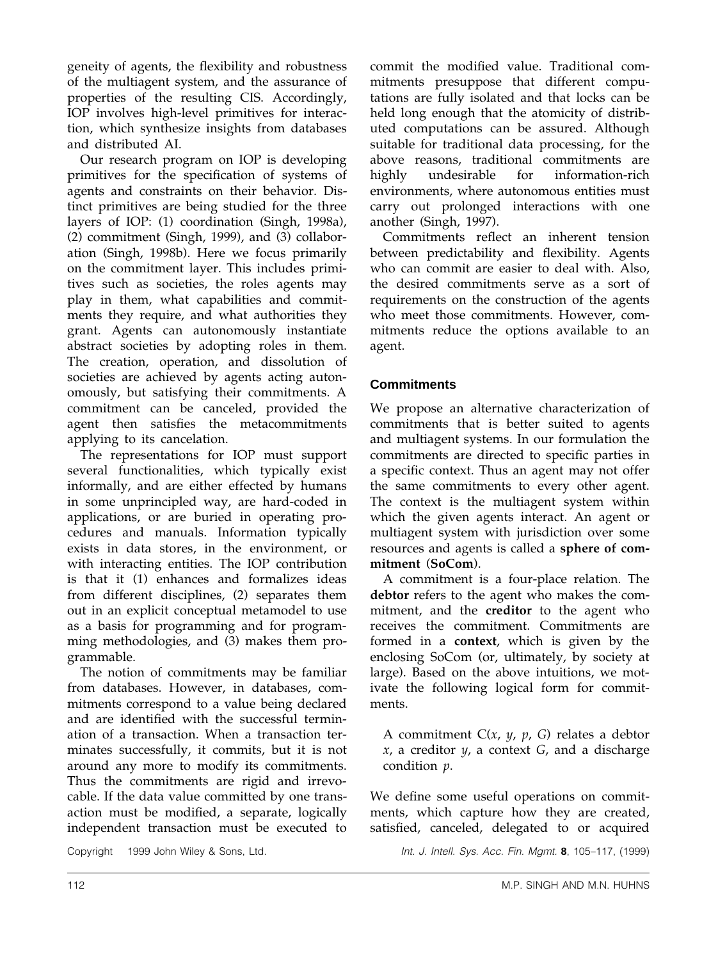geneity of agents, the flexibility and robustness of the multiagent system, and the assurance of properties of the resulting CIS. Accordingly, IOP involves high-level primitives for interaction, which synthesize insights from databases and distributed AI.

Our research program on IOP is developing primitives for the specification of systems of agents and constraints on their behavior. Distinct primitives are being studied for the three layers of IOP: (1) coordination (Singh, 1998a), (2) commitment (Singh, 1999), and (3) collaboration (Singh, 1998b). Here we focus primarily on the commitment layer. This includes primitives such as societies, the roles agents may play in them, what capabilities and commitments they require, and what authorities they grant. Agents can autonomously instantiate abstract societies by adopting roles in them. The creation, operation, and dissolution of societies are achieved by agents acting autonomously, but satisfying their commitments. A commitment can be canceled, provided the agent then satisfies the metacommitments applying to its cancelation.

The representations for IOP must support several functionalities, which typically exist informally, and are either effected by humans in some unprincipled way, are hard-coded in applications, or are buried in operating procedures and manuals. Information typically exists in data stores, in the environment, or with interacting entities. The IOP contribution is that it (1) enhances and formalizes ideas from different disciplines, (2) separates them out in an explicit conceptual metamodel to use as a basis for programming and for programming methodologies, and (3) makes them programmable.

The notion of commitments may be familiar from databases. However, in databases, commitments correspond to a value being declared and are identified with the successful termination of a transaction. When a transaction terminates successfully, it commits, but it is not around any more to modify its commitments. Thus the commitments are rigid and irrevocable. If the data value committed by one transaction must be modified, a separate, logically independent transaction must be executed to

commit the modified value. Traditional commitments presuppose that different computations are fully isolated and that locks can be held long enough that the atomicity of distributed computations can be assured. Although suitable for traditional data processing, for the above reasons, traditional commitments are highly undesirable for information-rich environments, where autonomous entities must carry out prolonged interactions with one another (Singh, 1997).

Commitments reflect an inherent tension between predictability and flexibility. Agents who can commit are easier to deal with. Also, the desired commitments serve as a sort of requirements on the construction of the agents who meet those commitments. However, commitments reduce the options available to an agent.

## **Commitments**

We propose an alternative characterization of commitments that is better suited to agents and multiagent systems. In our formulation the commitments are directed to specific parties in a specific context. Thus an agent may not offer the same commitments to every other agent. The context is the multiagent system within which the given agents interact. An agent or multiagent system with jurisdiction over some resources and agents is called a **sphere of commitment** (**SoCom**).

A commitment is a four-place relation. The **debtor** refers to the agent who makes the commitment, and the **creditor** to the agent who receives the commitment. Commitments are formed in a **context**, which is given by the enclosing SoCom (or, ultimately, by society at large). Based on the above intuitions, we motivate the following logical form for commitments.

A commitment  $C(x, y, p, G)$  relates a debtor *x*, a creditor *y*, a context *G*, and a discharge condition *p*.

We define some useful operations on commitments, which capture how they are created, satisfied, canceled, delegated to or acquired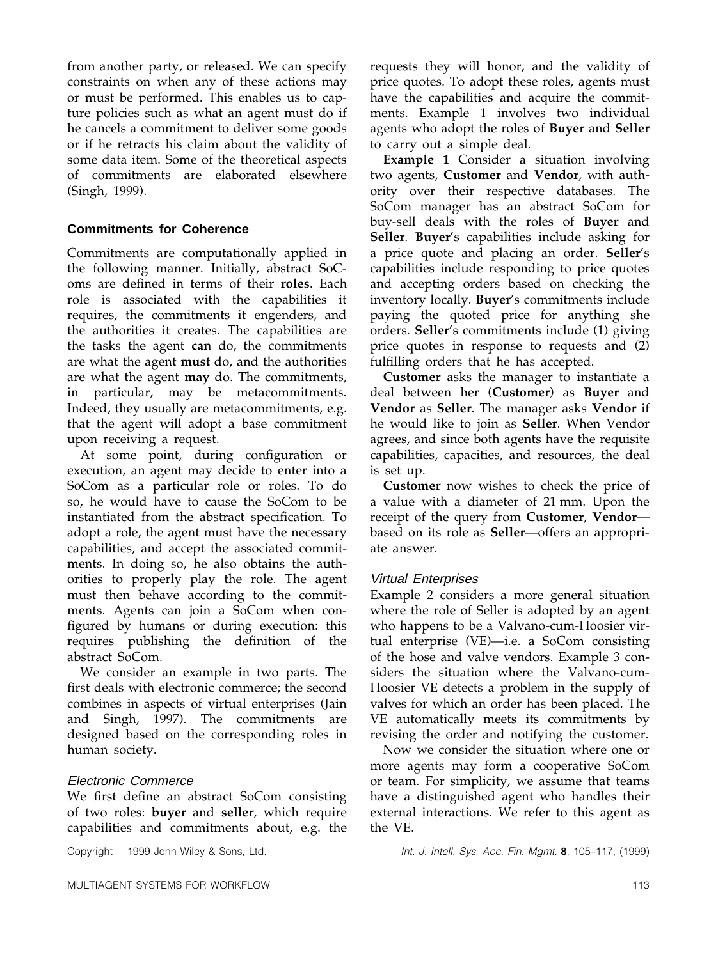from another party, or released. We can specify constraints on when any of these actions may or must be performed. This enables us to capture policies such as what an agent must do if he cancels a commitment to deliver some goods or if he retracts his claim about the validity of some data item. Some of the theoretical aspects of commitments are elaborated elsewhere (Singh, 1999).

#### **Commitments for Coherence**

Commitments are computationally applied in the following manner. Initially, abstract SoComs are defined in terms of their **roles**. Each role is associated with the capabilities it requires, the commitments it engenders, and the authorities it creates. The capabilities are the tasks the agent **can** do, the commitments are what the agent **must** do, and the authorities are what the agent **may** do. The commitments, in particular, may be metacommitments. Indeed, they usually are metacommitments, e.g. that the agent will adopt a base commitment upon receiving a request.

At some point, during configuration or execution, an agent may decide to enter into a SoCom as a particular role or roles. To do so, he would have to cause the SoCom to be instantiated from the abstract specification. To adopt a role, the agent must have the necessary capabilities, and accept the associated commitments. In doing so, he also obtains the authorities to properly play the role. The agent must then behave according to the commitments. Agents can join a SoCom when configured by humans or during execution: this requires publishing the definition of the abstract SoCom.

We consider an example in two parts. The first deals with electronic commerce; the second combines in aspects of virtual enterprises (Jain and Singh, 1997). The commitments are designed based on the corresponding roles in human society.

## Electronic Commerce

We first define an abstract SoCom consisting of two roles: **buyer** and **seller**, which require capabilities and commitments about, e.g. the

requests they will honor, and the validity of price quotes. To adopt these roles, agents must have the capabilities and acquire the commitments. Example 1 involves two individual agents who adopt the roles of **Buyer** and **Seller** to carry out a simple deal.

**Example 1** Consider a situation involving two agents, **Customer** and **Vendor**, with authority over their respective databases. The SoCom manager has an abstract SoCom for buy-sell deals with the roles of **Buyer** and **Seller**. **Buyer**'s capabilities include asking for a price quote and placing an order. **Seller**'s capabilities include responding to price quotes and accepting orders based on checking the inventory locally. **Buyer**'s commitments include paying the quoted price for anything she orders. **Seller**'s commitments include (1) giving price quotes in response to requests and (2) fulfilling orders that he has accepted.

**Customer** asks the manager to instantiate a deal between her (**Customer**) as **Buyer** and **Vendor** as **Seller**. The manager asks **Vendor** if he would like to join as **Seller**. When Vendor agrees, and since both agents have the requisite capabilities, capacities, and resources, the deal is set up.

**Customer** now wishes to check the price of a value with a diameter of 21 mm. Upon the receipt of the query from **Customer**, **Vendor** based on its role as **Seller**—offers an appropriate answer.

## Virtual Enterprises

Example 2 considers a more general situation where the role of Seller is adopted by an agent who happens to be a Valvano-cum-Hoosier virtual enterprise (VE)—i.e. a SoCom consisting of the hose and valve vendors. Example 3 considers the situation where the Valvano-cum-Hoosier VE detects a problem in the supply of valves for which an order has been placed. The VE automatically meets its commitments by revising the order and notifying the customer.

Now we consider the situation where one or more agents may form a cooperative SoCom or team. For simplicity, we assume that teams have a distinguished agent who handles their external interactions. We refer to this agent as the VE.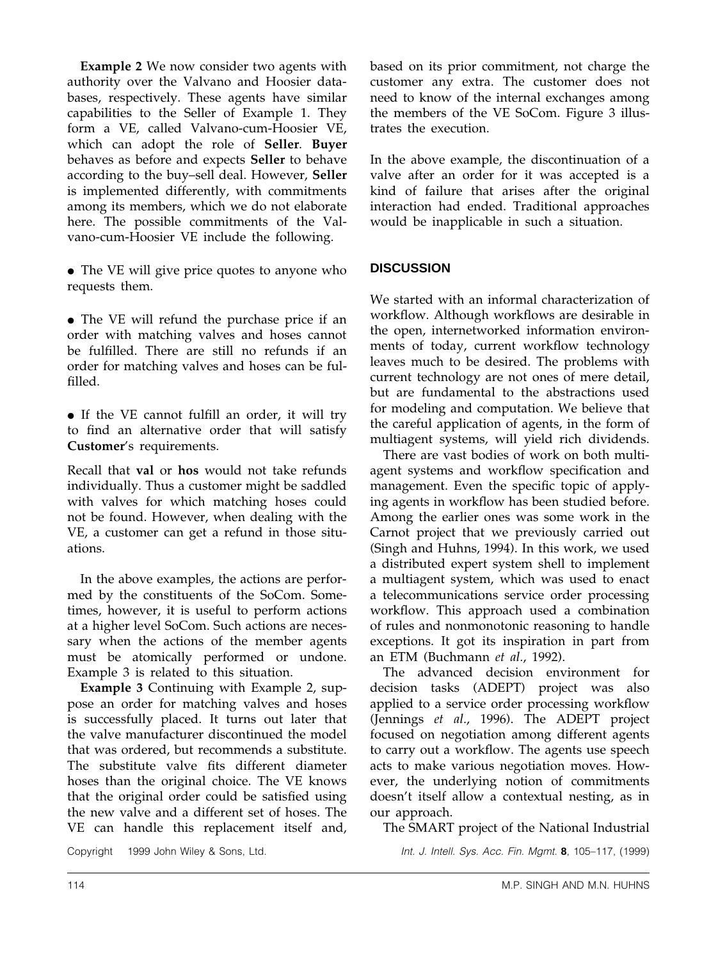**Example 2** We now consider two agents with authority over the Valvano and Hoosier databases, respectively. These agents have similar capabilities to the Seller of Example 1. They form a VE, called Valvano-cum-Hoosier VE, which can adopt the role of **Seller**. **Buyer** behaves as before and expects **Seller** to behave according to the buy–sell deal. However, **Seller** is implemented differently, with commitments among its members, which we do not elaborate here. The possible commitments of the Valvano-cum-Hoosier VE include the following.

• The VE will give price quotes to anyone who requests them.

• The VE will refund the purchase price if an order with matching valves and hoses cannot be fulfilled. There are still no refunds if an order for matching valves and hoses can be fulfilled.

 $\bullet$  If the VE cannot fulfill an order, it will try to find an alternative order that will satisfy **Customer**'s requirements.

Recall that **val** or **hos** would not take refunds individually. Thus a customer might be saddled with valves for which matching hoses could not be found. However, when dealing with the VE, a customer can get a refund in those situations.

In the above examples, the actions are performed by the constituents of the SoCom. Sometimes, however, it is useful to perform actions at a higher level SoCom. Such actions are necessary when the actions of the member agents must be atomically performed or undone. Example 3 is related to this situation.

**Example 3** Continuing with Example 2, suppose an order for matching valves and hoses is successfully placed. It turns out later that the valve manufacturer discontinued the model that was ordered, but recommends a substitute. The substitute valve fits different diameter hoses than the original choice. The VE knows that the original order could be satisfied using the new valve and a different set of hoses. The VE can handle this replacement itself and, based on its prior commitment, not charge the customer any extra. The customer does not need to know of the internal exchanges among the members of the VE SoCom. Figure 3 illustrates the execution.

In the above example, the discontinuation of a valve after an order for it was accepted is a kind of failure that arises after the original interaction had ended. Traditional approaches would be inapplicable in such a situation.

#### **DISCUSSION**

We started with an informal characterization of workflow. Although workflows are desirable in the open, internetworked information environments of today, current workflow technology leaves much to be desired. The problems with current technology are not ones of mere detail, but are fundamental to the abstractions used for modeling and computation. We believe that the careful application of agents, in the form of multiagent systems, will yield rich dividends.

There are vast bodies of work on both multiagent systems and workflow specification and management. Even the specific topic of applying agents in workflow has been studied before. Among the earlier ones was some work in the Carnot project that we previously carried out (Singh and Huhns, 1994). In this work, we used a distributed expert system shell to implement a multiagent system, which was used to enact a telecommunications service order processing workflow. This approach used a combination of rules and nonmonotonic reasoning to handle exceptions. It got its inspiration in part from an ETM (Buchmann *et al.*, 1992).

The advanced decision environment for decision tasks (ADEPT) project was also applied to a service order processing workflow (Jennings *et al.*, 1996). The ADEPT project focused on negotiation among different agents to carry out a workflow. The agents use speech acts to make various negotiation moves. However, the underlying notion of commitments doesn't itself allow a contextual nesting, as in our approach.

The SMART project of the National Industrial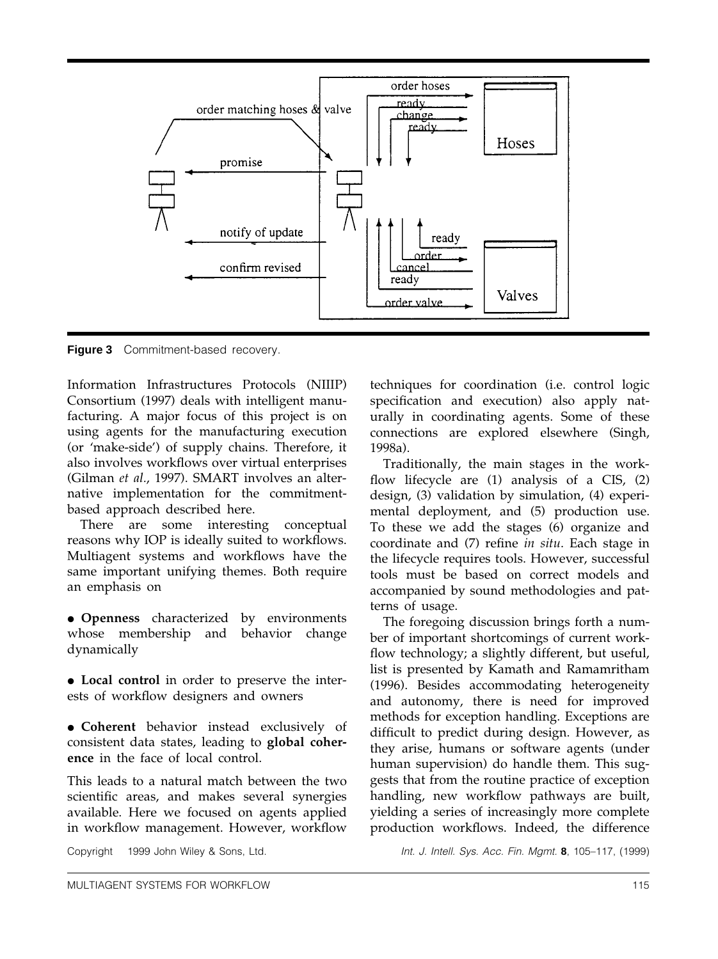

**Figure 3** Commitment-based recovery.

Information Infrastructures Protocols (NIIIP) Consortium (1997) deals with intelligent manufacturing. A major focus of this project is on using agents for the manufacturing execution (or 'make-side') of supply chains. Therefore, it also involves workflows over virtual enterprises (Gilman *et al.*, 1997). SMART involves an alternative implementation for the commitmentbased approach described here.

There are some interesting conceptual reasons why IOP is ideally suited to workflows. Multiagent systems and workflows have the same important unifying themes. Both require an emphasis on

**• Openness** characterized by environments whose membership and behavior change dynamically

• Local control in order to preserve the interests of workflow designers and owners

**• Coherent** behavior instead exclusively of consistent data states, leading to **global coherence** in the face of local control.

This leads to a natural match between the two scientific areas, and makes several synergies available. Here we focused on agents applied in workflow management. However, workflow

techniques for coordination (i.e. control logic specification and execution) also apply naturally in coordinating agents. Some of these connections are explored elsewhere (Singh, 1998a).

Traditionally, the main stages in the workflow lifecycle are (1) analysis of a CIS, (2) design, (3) validation by simulation, (4) experimental deployment, and (5) production use. To these we add the stages (6) organize and coordinate and (7) refine *in situ*. Each stage in the lifecycle requires tools. However, successful tools must be based on correct models and accompanied by sound methodologies and patterns of usage.

The foregoing discussion brings forth a number of important shortcomings of current workflow technology; a slightly different, but useful, list is presented by Kamath and Ramamritham (1996). Besides accommodating heterogeneity and autonomy, there is need for improved methods for exception handling. Exceptions are difficult to predict during design. However, as they arise, humans or software agents (under human supervision) do handle them. This suggests that from the routine practice of exception handling, new workflow pathways are built, yielding a series of increasingly more complete production workflows. Indeed, the difference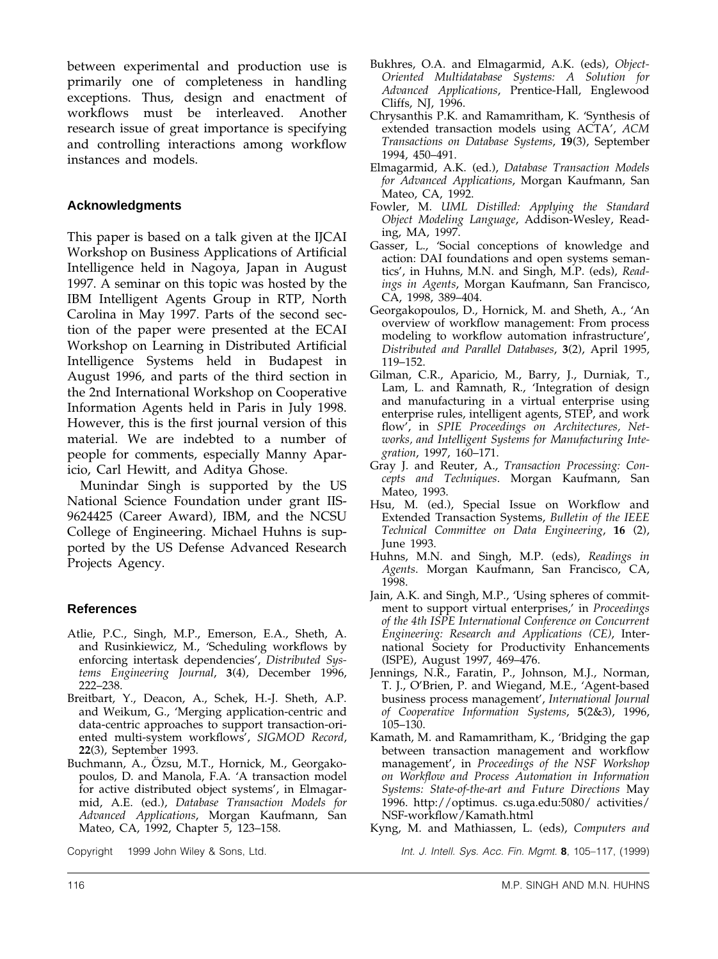between experimental and production use is primarily one of completeness in handling exceptions. Thus, design and enactment of workflows must be interleaved. Another research issue of great importance is specifying and controlling interactions among workflow instances and models.

#### **Acknowledgments**

This paper is based on a talk given at the IJCAI Workshop on Business Applications of Artificial Intelligence held in Nagoya, Japan in August 1997. A seminar on this topic was hosted by the IBM Intelligent Agents Group in RTP, North Carolina in May 1997. Parts of the second section of the paper were presented at the ECAI Workshop on Learning in Distributed Artificial Intelligence Systems held in Budapest in August 1996, and parts of the third section in the 2nd International Workshop on Cooperative Information Agents held in Paris in July 1998. However, this is the first journal version of this material. We are indebted to a number of people for comments, especially Manny Aparicio, Carl Hewitt, and Aditya Ghose.

Munindar Singh is supported by the US National Science Foundation under grant IIS-9624425 (Career Award), IBM, and the NCSU College of Engineering. Michael Huhns is supported by the US Defense Advanced Research Projects Agency.

#### **References**

- Atlie, P.C., Singh, M.P., Emerson, E.A., Sheth, A. and Rusinkiewicz, M., 'Scheduling workflows by enforcing intertask dependencies', *Distributed Systems Engineering Journal*, **3**(4), December 1996, 222–238.
- Breitbart, Y., Deacon, A., Schek, H.-J. Sheth, A.P. and Weikum, G., 'Merging application-centric and data-centric approaches to support transaction-oriented multi-system workflows', *SIGMOD Record*, **22**(3), September 1993.
- Buchmann, A., Ozsu, M.T., Hornick, M., Georgakopoulos, D. and Manola, F.A. 'A transaction model for active distributed object systems', in Elmagarmid, A.E. (ed.), *Database Transaction Models for Advanced Applications*, Morgan Kaufmann, San Mateo, CA, 1992, Chapter 5, 123–158.

- Bukhres, O.A. and Elmagarmid, A.K. (eds), *Object-Oriented Multidatabase Systems: A Solution for Advanced Applications*, Prentice-Hall, Englewood Cliffs, NJ, 1996.
- Chrysanthis P.K. and Ramamritham, K. 'Synthesis of extended transaction models using ACTA', *ACM Transactions on Database Systems*, **19**(3), September 1994, 450–491.
- Elmagarmid, A.K. (ed.), *Database Transaction Models for Advanced Applications*, Morgan Kaufmann, San Mateo, CA, 1992.
- Fowler, M. *UML Distilled: Applying the Standard Object Modeling Language*, Addison-Wesley, Reading, MA, 1997.
- Gasser, L., 'Social conceptions of knowledge and action: DAI foundations and open systems semantics', in Huhns, M.N. and Singh, M.P. (eds), *Readings in Agents*, Morgan Kaufmann, San Francisco, CA, 1998, 389–404.
- Georgakopoulos, D., Hornick, M. and Sheth, A., 'An overview of workflow management: From process modeling to workflow automation infrastructure', *Distributed and Parallel Databases*, **3**(2), April 1995, 119–152.
- Gilman, C.R., Aparicio, M., Barry, J., Durniak, T., Lam, L. and Ramnath, R., 'Integration of design and manufacturing in a virtual enterprise using enterprise rules, intelligent agents, STEP, and work flow', in *SPIE Proceedings on Architectures, Networks, and Intelligent Systems for Manufacturing Integration*, 1997, 160–171.
- Gray J. and Reuter, A., *Transaction Processing: Concepts and Techniques*. Morgan Kaufmann, San Mateo, 1993.
- Hsu, M. (ed.), Special Issue on Workflow and Extended Transaction Systems, *Bulletin of the IEEE Technical Committee on Data Engineering*, **16** (2), June 1993.
- Huhns, M.N. and Singh, M.P. (eds), *Readings in Agents*. Morgan Kaufmann, San Francisco, CA, 1998.
- Jain, A.K. and Singh, M.P., 'Using spheres of commitment to support virtual enterprises,' in *Proceedings of the 4th ISPE International Conference on Concurrent Engineering: Research and Applications (CE)*, International Society for Productivity Enhancements (ISPE), August 1997, 469–476.
- Jennings, N.R., Faratin, P., Johnson, M.J., Norman, T. J., O'Brien, P. and Wiegand, M.E., 'Agent-based business process management', *International Journal of Cooperative Information Systems*, **5**(2&3), 1996, 105–130.
- Kamath, M. and Ramamritham, K., 'Bridging the gap between transaction management and workflow management', in *Proceedings of the NSF Workshop on Workflow and Process Automation in Information Systems: State-of-the-art and Future Directions* May 1996. http://optimus. cs.uga.edu:5080/ activities/ NSF-workflow/Kamath.html
- Kyng, M. and Mathiassen, L. (eds), *Computers and*